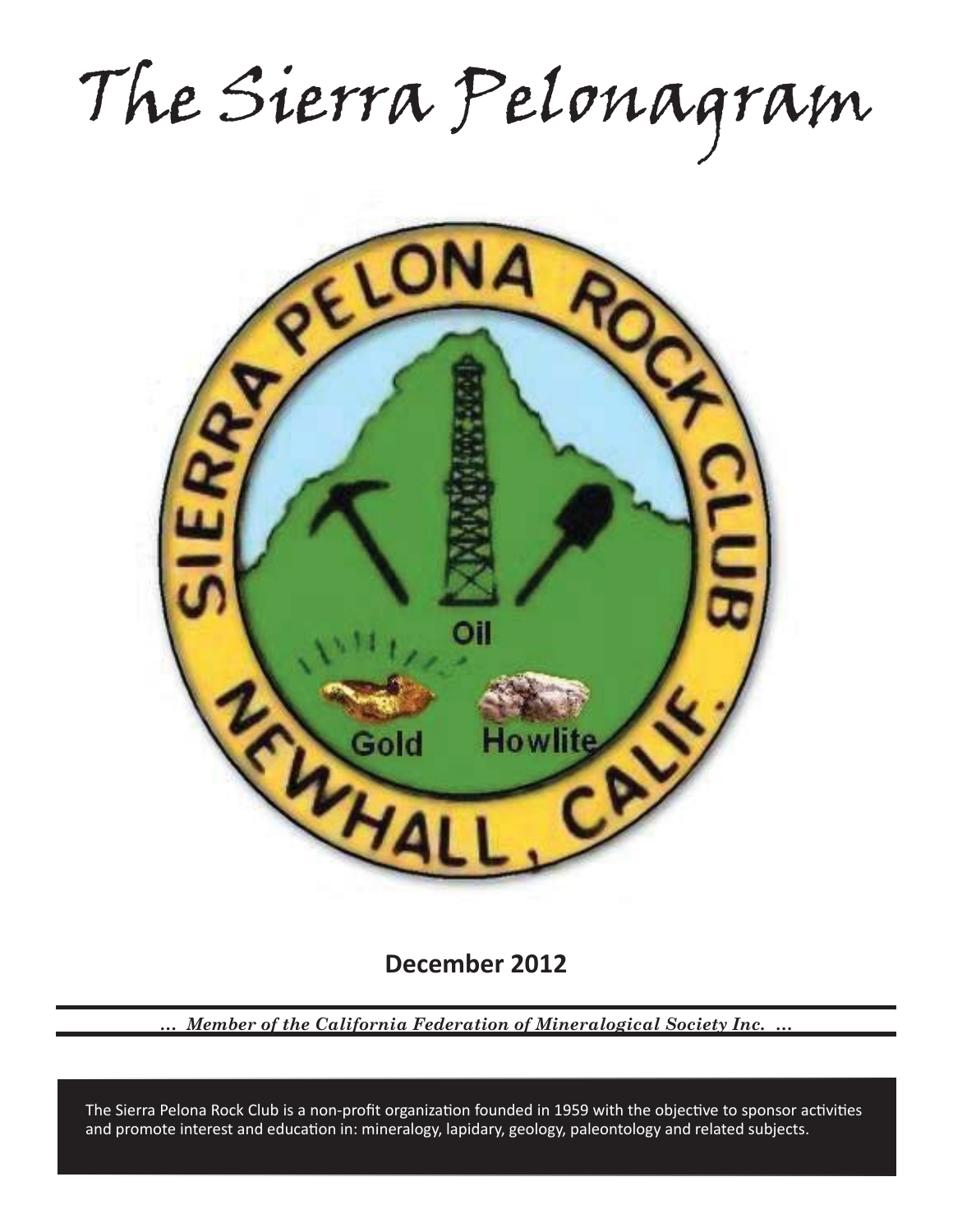The Sierra Pelonagram



**December 2012**

*… Member of the California Federation of Mineralogical Society Inc. …*

and promote interest and education in: mineralogy, lapidary, geology, paleontology and related subjects. The Sierra Pelona Rock Club is a non-profit organization founded in 1959 with the objective to sponsor activities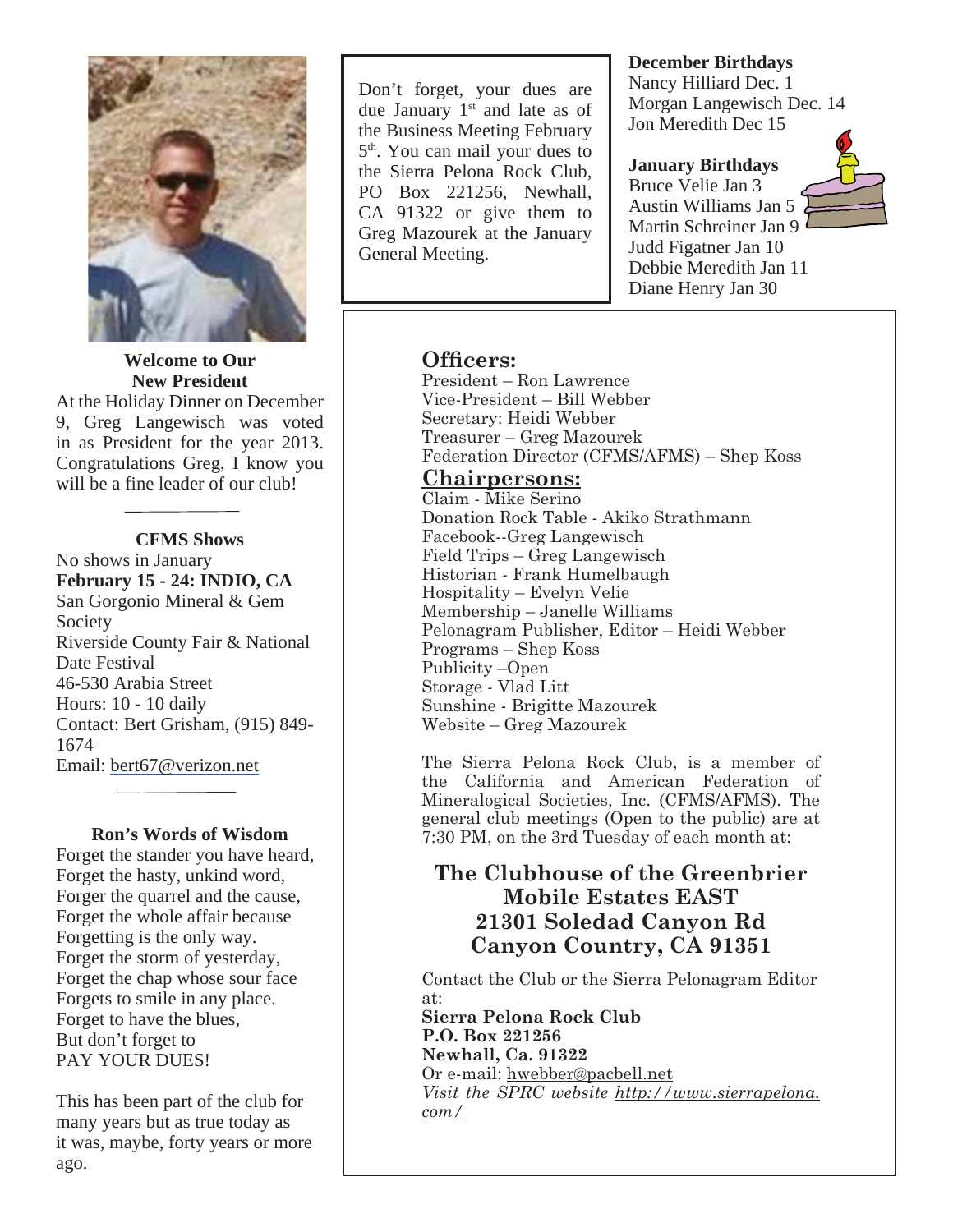

**Welcome to Our New President**

At the Holiday Dinner on December 9, Greg Langewisch was voted in as President for the year 2013. Congratulations Greg, I know you will be a fine leader of our club!

#### **CFMS Shows**

No shows in January **February 15 - 24: INDIO, CA** San Gorgonio Mineral & Gem Society Riverside County Fair & National Date Festival 46-530 Arabia Street Hours: 10 - 10 daily Contact: Bert Grisham, (915) 849- 1674 Email: bert67@verizon.net

**Ron's Words of Wisdom** Forget the stander you have heard, Forget the hasty, unkind word, Forger the quarrel and the cause, Forget the whole affair because Forgetting is the only way. Forget the storm of yesterday, Forget the chap whose sour face Forgets to smile in any place. Forget to have the blues, But don't forget to PAY YOUR DUES!

This has been part of the club for many years but as true today as it was, maybe, forty years or more ago.

Don't forget, your dues are due January  $1<sup>st</sup>$  and late as of the Business Meeting February 5th. You can mail your dues to the Sierra Pelona Rock Club, PO Box 221256, Newhall, CA 91322 or give them to Greg Mazourek at the January General Meeting.

### **December Birthdays**

Nancy Hilliard Dec. 1 Morgan Langewisch Dec. 14 Jon Meredith Dec 15

## **January Birthdays**

Bruce Velie Jan 3 Austin Williams Jan 5 Martin Schreiner Jan 9 Judd Figatner Jan 10 Debbie Meredith Jan 11 Diane Henry Jan 30



## **Officers:**

President – Ron Lawrence Vice-President – Bill Webber Secretary: Heidi Webber Treasurer – Greg Mazourek Federation Director (CFMS/AFMS) – Shep Koss

## **Chairpersons:**

Claim - Mike Serino Donation Rock Table - Akiko Strathmann Facebook--Greg Langewisch Field Trips – Greg Langewisch Historian - Frank Humelbaugh Hospitality – Evelyn Velie Membership – Janelle Williams Pelonagram Publisher, Editor – Heidi Webber Programs – Shep Koss Publicity –Open Storage - Vlad Litt Sunshine - Brigitte Mazourek Website – Greg Mazourek

The Sierra Pelona Rock Club, is a member of the California and American Federation of Mineralogical Societies, Inc. (CFMS/AFMS). The general club meetings (Open to the public) are at 7:30 PM, on the 3rd Tuesday of each month at:

# **The Clubhouse of the Greenbrier Mobile Estates EAST 21301 Soledad Canyon Rd Canyon Country, CA 91351**

Contact the Club or the Sierra Pelonagram Editor at:

**Sierra Pelona Rock Club P.O. Box 221256 Newhall, Ca. 91322** Or e-mail: hwebber@pacbell.net *Visit the SPRC website http://www.sierrapelona. com/*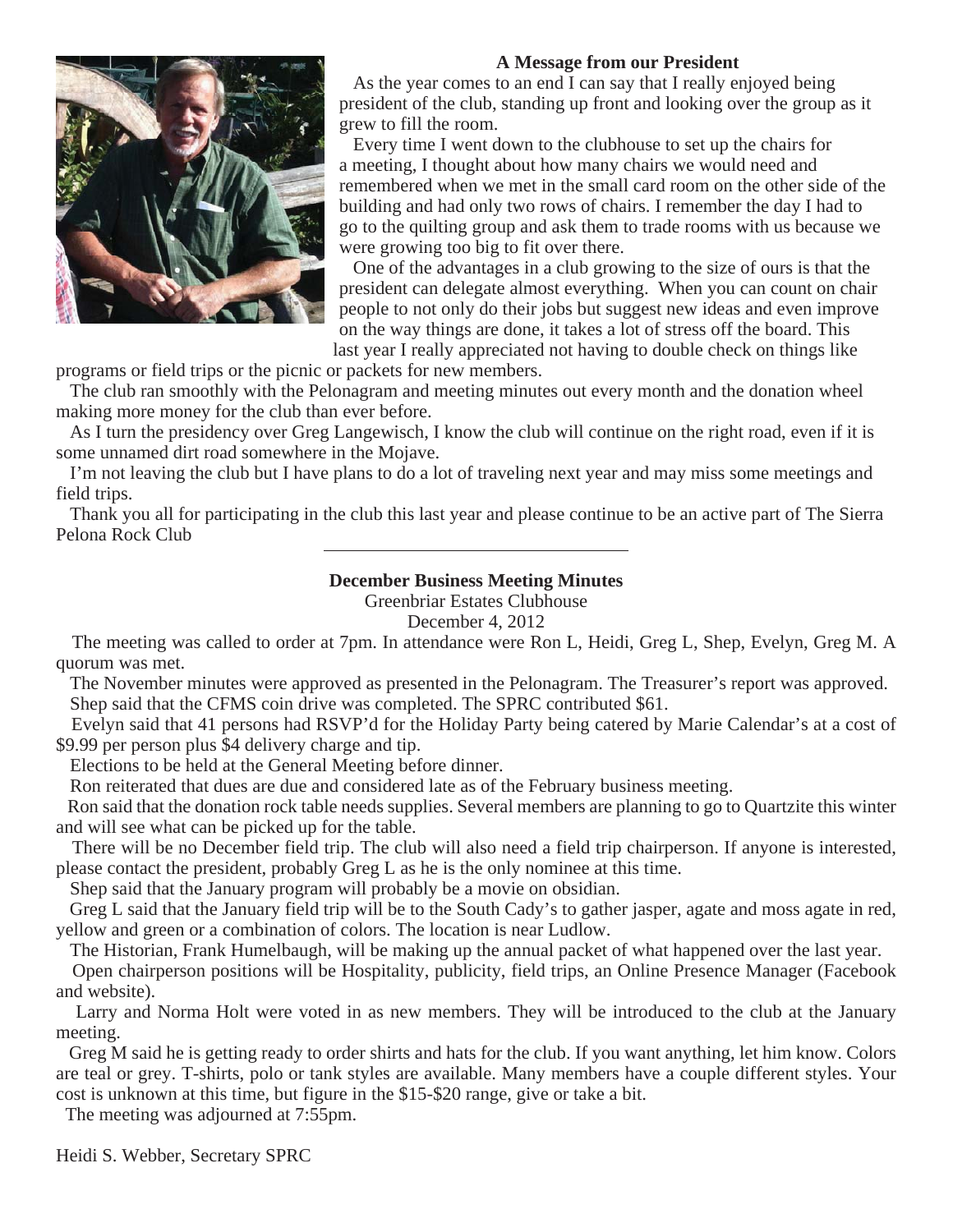### **A Message from our President**



 As the year comes to an end I can say that I really enjoyed being president of the club, standing up front and looking over the group as it grew to fill the room.

 Every time I went down to the clubhouse to set up the chairs for a meeting, I thought about how many chairs we would need and remembered when we met in the small card room on the other side of the building and had only two rows of chairs. I remember the day I had to go to the quilting group and ask them to trade rooms with us because we were growing too big to fit over there.

 One of the advantages in a club growing to the size of ours is that the president can delegate almost everything. When you can count on chair people to not only do their jobs but suggest new ideas and even improve on the way things are done, it takes a lot of stress off the board. This last year I really appreciated not having to double check on things like

programs or field trips or the picnic or packets for new members.

 The club ran smoothly with the Pelonagram and meeting minutes out every month and the donation wheel making more money for the club than ever before.

 As I turn the presidency over Greg Langewisch, I know the club will continue on the right road, even if it is some unnamed dirt road somewhere in the Mojave.

 I'm not leaving the club but I have plans to do a lot of traveling next year and may miss some meetings and field trips.

 Thank you all for participating in the club this last year and please continue to be an active part of The Sierra Pelona Rock Club

## **December Business Meeting Minutes**

Greenbriar Estates Clubhouse

December 4, 2012

 The meeting was called to order at 7pm. In attendance were Ron L, Heidi, Greg L, Shep, Evelyn, Greg M. A quorum was met.

 The November minutes were approved as presented in the Pelonagram. The Treasurer's report was approved. Shep said that the CFMS coin drive was completed. The SPRC contributed \$61.

 Evelyn said that 41 persons had RSVP'd for the Holiday Party being catered by Marie Calendar's at a cost of \$9.99 per person plus \$4 delivery charge and tip.

Elections to be held at the General Meeting before dinner.

Ron reiterated that dues are due and considered late as of the February business meeting.

 Ron said that the donation rock table needs supplies. Several members are planning to go to Quartzite this winter and will see what can be picked up for the table.

 There will be no December field trip. The club will also need a field trip chairperson. If anyone is interested, please contact the president, probably Greg L as he is the only nominee at this time.

Shep said that the January program will probably be a movie on obsidian.

 Greg L said that the January field trip will be to the South Cady's to gather jasper, agate and moss agate in red, yellow and green or a combination of colors. The location is near Ludlow.

The Historian, Frank Humelbaugh, will be making up the annual packet of what happened over the last year.

 Open chairperson positions will be Hospitality, publicity, field trips, an Online Presence Manager (Facebook and website).

 Larry and Norma Holt were voted in as new members. They will be introduced to the club at the January meeting.

 Greg M said he is getting ready to order shirts and hats for the club. If you want anything, let him know. Colors are teal or grey. T-shirts, polo or tank styles are available. Many members have a couple different styles. Your cost is unknown at this time, but figure in the \$15-\$20 range, give or take a bit.

The meeting was adjourned at 7:55pm.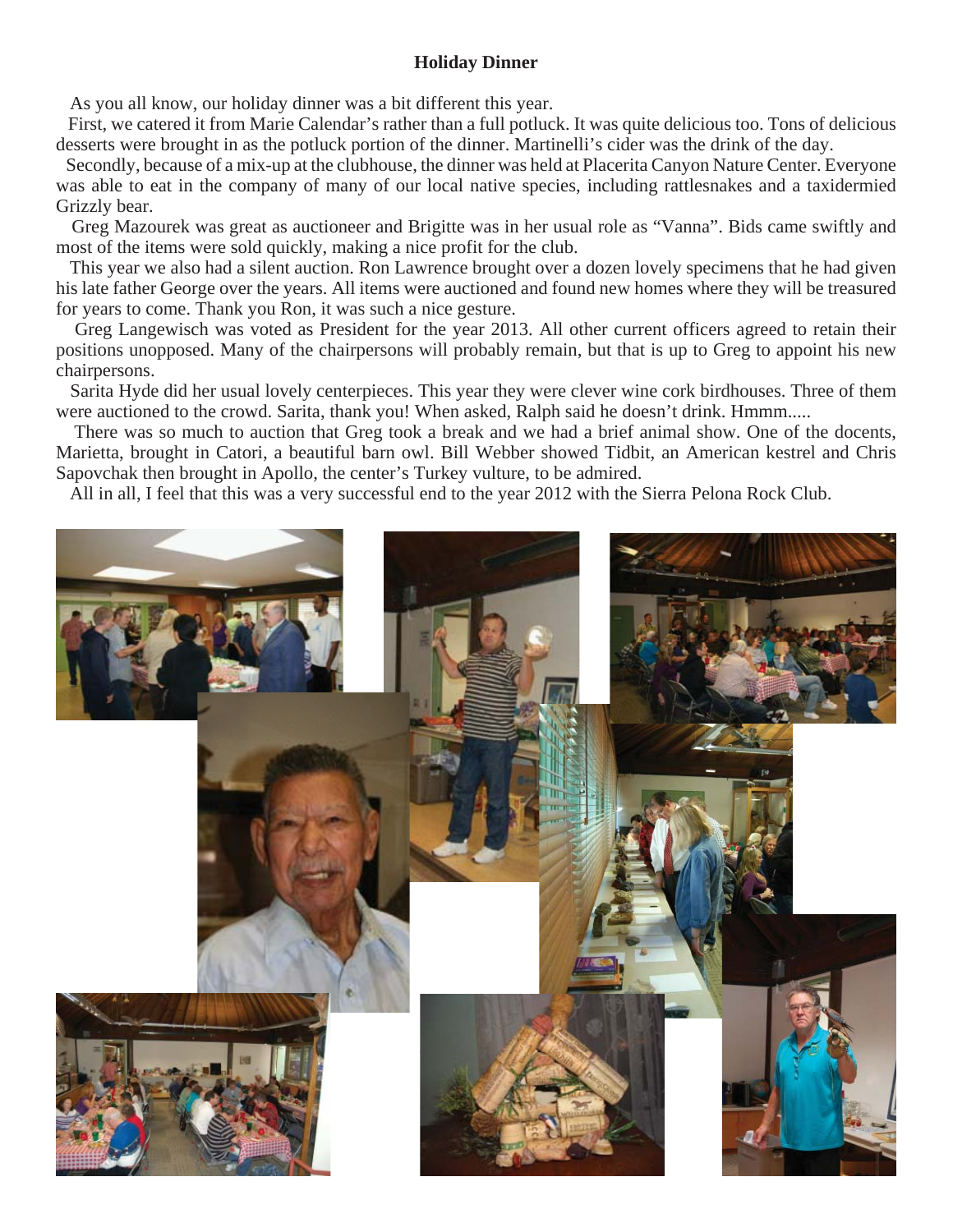### **Holiday Dinner**

As you all know, our holiday dinner was a bit different this year.

 First, we catered it from Marie Calendar's rather than a full potluck. It was quite delicious too. Tons of delicious desserts were brought in as the potluck portion of the dinner. Martinelli's cider was the drink of the day.

 Secondly, because of a mix-up at the clubhouse, the dinner was held at Placerita Canyon Nature Center. Everyone was able to eat in the company of many of our local native species, including rattlesnakes and a taxidermied Grizzly bear.

 Greg Mazourek was great as auctioneer and Brigitte was in her usual role as "Vanna". Bids came swiftly and most of the items were sold quickly, making a nice profit for the club.

 This year we also had a silent auction. Ron Lawrence brought over a dozen lovely specimens that he had given his late father George over the years. All items were auctioned and found new homes where they will be treasured for years to come. Thank you Ron, it was such a nice gesture.

 Greg Langewisch was voted as President for the year 2013. All other current officers agreed to retain their positions unopposed. Many of the chairpersons will probably remain, but that is up to Greg to appoint his new chairpersons.

 Sarita Hyde did her usual lovely centerpieces. This year they were clever wine cork birdhouses. Three of them were auctioned to the crowd. Sarita, thank you! When asked, Ralph said he doesn't drink. Hmmm.....

 There was so much to auction that Greg took a break and we had a brief animal show. One of the docents, Marietta, brought in Catori, a beautiful barn owl. Bill Webber showed Tidbit, an American kestrel and Chris Sapovchak then brought in Apollo, the center's Turkey vulture, to be admired.

All in all, I feel that this was a very successful end to the year 2012 with the Sierra Pelona Rock Club.

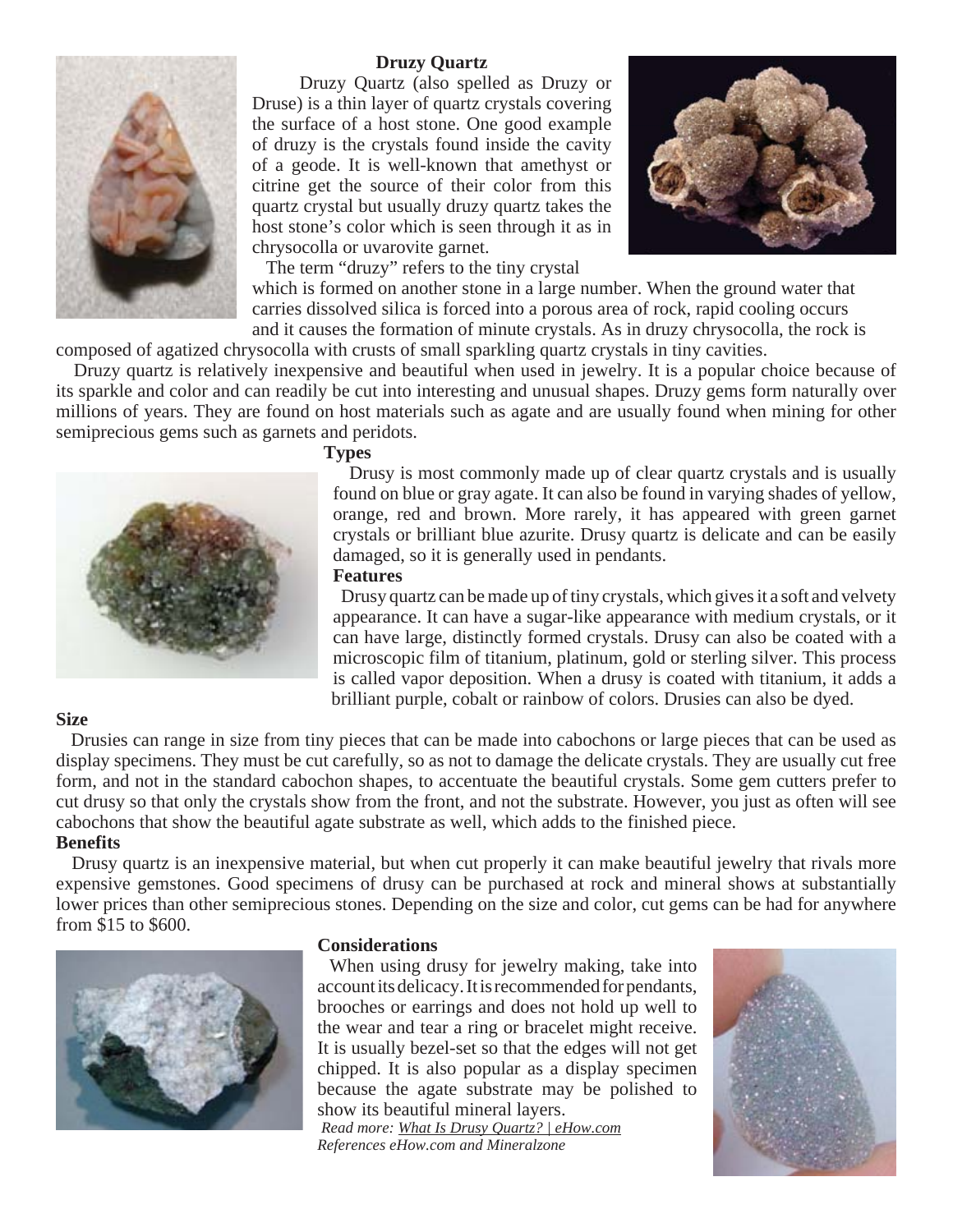

#### **Druzy Quartz**

 Druzy Quartz (also spelled as Druzy or Druse) is a thin layer of quartz crystals covering the surface of a host stone. One good example of druzy is the crystals found inside the cavity of a geode. It is well-known that amethyst or citrine get the source of their color from this quartz crystal but usually druzy quartz takes the host stone's color which is seen through it as in chrysocolla or uvarovite garnet.

 The term "druzy" refers to the tiny crystal which is formed on another stone in a large number. When the ground water that carries dissolved silica is forced into a porous area of rock, rapid cooling occurs and it causes the formation of minute crystals. As in druzy chrysocolla, the rock is

composed of agatized chrysocolla with crusts of small sparkling quartz crystals in tiny cavities.

 Druzy quartz is relatively inexpensive and beautiful when used in jewelry. It is a popular choice because of its sparkle and color and can readily be cut into interesting and unusual shapes. Druzy gems form naturally over millions of years. They are found on host materials such as agate and are usually found when mining for other semiprecious gems such as garnets and peridots.



**Types**

 Drusy is most commonly made up of clear quartz crystals and is usually found on blue or gray agate. It can also be found in varying shades of yellow, orange, red and brown. More rarely, it has appeared with green garnet crystals or brilliant blue azurite. Drusy quartz is delicate and can be easily damaged, so it is generally used in pendants.

#### **Features**

 Drusy quartz can be made up of tiny crystals, which gives it a soft and velvety appearance. It can have a sugar-like appearance with medium crystals, or it can have large, distinctly formed crystals. Drusy can also be coated with a microscopic film of titanium, platinum, gold or sterling silver. This process is called vapor deposition. When a drusy is coated with titanium, it adds a brilliant purple, cobalt or rainbow of colors. Drusies can also be dyed.

#### **Size**

 Drusies can range in size from tiny pieces that can be made into cabochons or large pieces that can be used as display specimens. They must be cut carefully, so as not to damage the delicate crystals. They are usually cut free form, and not in the standard cabochon shapes, to accentuate the beautiful crystals. Some gem cutters prefer to cut drusy so that only the crystals show from the front, and not the substrate. However, you just as often will see cabochons that show the beautiful agate substrate as well, which adds to the finished piece. **Benefits**

 Drusy quartz is an inexpensive material, but when cut properly it can make beautiful jewelry that rivals more expensive gemstones. Good specimens of drusy can be purchased at rock and mineral shows at substantially lower prices than other semiprecious stones. Depending on the size and color, cut gems can be had for anywhere from \$15 to \$600.



#### **Considerations**

 When using drusy for jewelry making, take into account its delicacy. It is recommended for pendants, brooches or earrings and does not hold up well to the wear and tear a ring or bracelet might receive. It is usually bezel-set so that the edges will not get chipped. It is also popular as a display specimen because the agate substrate may be polished to show its beautiful mineral layers.

 *Read more: What Is Drusy Quartz? | eHow.com References eHow.com and Mineralzone*